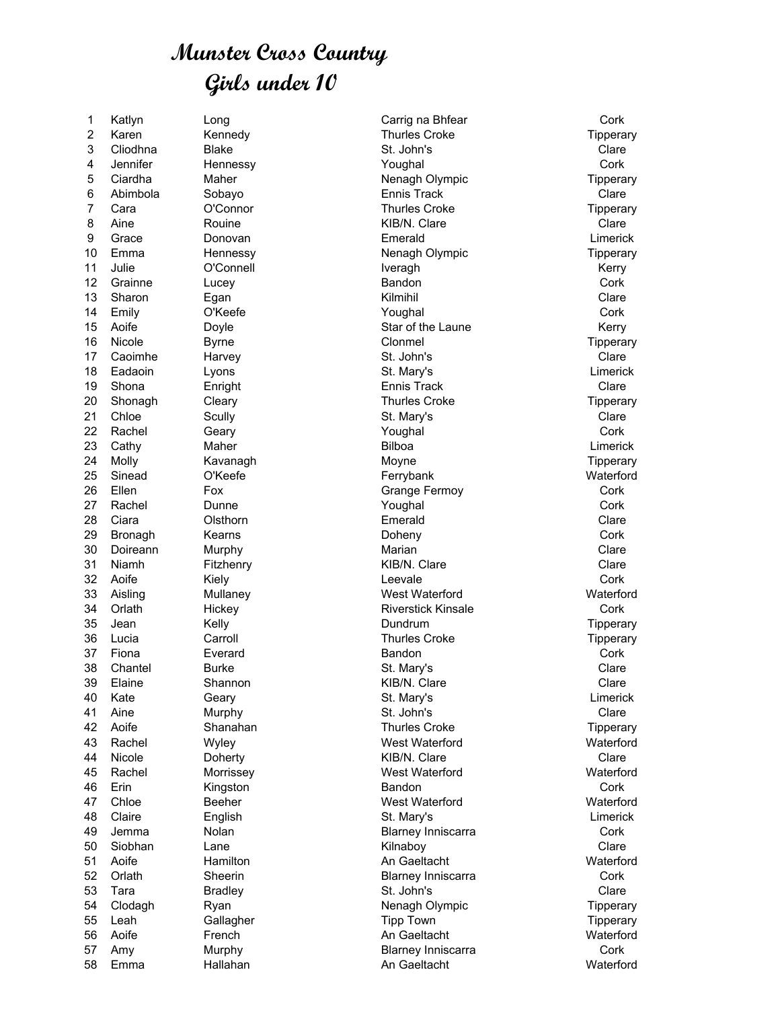## **Munster Cross Country Girls under 10**

2 Karen Kennedy Thurles Croke Tipperary 3 Cliodhna Blake St. John's Clare 4 Jennifer Hennessy Youghal Cork 5 Ciardha Maher Nenagh Olympic Tipperary 6 Abimbola Sobayo Ennis Track Clare 7 Cara C'Connor Computer Charles Croke Tipperary 8 Aine Rouine KIB/N. Clare Clare 9 Grace Donovan Emerald Limerick 10 Emma Hennessy Nenagh Olympic Tipperary 11 Julie **C'Connell** Connell **Iveragh** Network Connell According to the Connell According of the Connell According to the Connell According to the Connell According to the Connell According to the Connell According to the 12 Grainne Lucey Bandon Cork 13 Sharon Egan Kilmihil Clare 14 Emily O'Keefe Youghal Cork 15 Aoife **Doyle** Download Download Barry Star of the Laune Kerry 16 Nicole **Byrne** Byrne Clonmel Conmel Tipperary 17 Caoimhe Harvey St. John's Clare 18 Eadaoin Lyons St. Mary's Limerick 19 Shona **Enright Enright Ennis Track** Ennis Track Clare 20 Shonagh Cleary Cleary Thurles Croke The Tipperary 21 Chloe Scully St. Mary's Clare 22 Rachel Geary Youghal Cork 23 Cathy Maher Bilboa Limerick 24 Molly Kavanagh Moyne Tipperary 25 Sinead O'Keefe Ferrybank Waterford 26 Ellen Fox Fox Grange Fermoy Cork 27 Rachel Dunne Youghal Cork 28 Ciara Olsthorn Emerald Clare 29 Bronagh Kearns Doheny Cork 30 Doireann Murphy Marian Clare 31 Niamh Fitzhenry KIB/N. Clare Clare 32 Aoife Kiely Leevale Cork 33 Aisling Mullaney West Waterford Waterford 34 Orlath **Hickey** Hickey Riverstick Kinsale **Cork** 35 Jean Kelly Dundrum Tipperary 36 Lucia Carroll Carroll Carroll Thurles Croke Cross Tipperary 37 Fiona Everard Bandon Cork 38 Chantel Burke St. Mary's Clare 39 Elaine Shannon KIB/N. Clare Clare 40 Kate Geary St. Mary's Limerick 41 Aine Murphy St. John's Clare 42 Aoife Shanahan Thurles Croke Tipperary 43 Rachel Wyley West Waterford Waterford 44 Nicole Doherty KIB/N. Clare Clare 45 Rachel Morrissey West Waterford Waterford 46 Erin Kingston Bandon Cork 47 Chloe Beeher West Waterford Waterford 48 Claire English St. Mary's Limerick 49 Jemma Nolan Blarney Inniscarra Cork 50 Siobhan Lane Kilnaboy Clare 51 Aoife Hamilton An Gaeltacht Waterford 52 Orlath Sheerin Blarney Inniscarra Cork 53 Tara Bradley St. John's Clare 54 Clodagh Ryan Nenagh Olympic Tipperary 55 Leah Gallagher Tipp Town Tipperary 56 Aoife French An Gaeltacht Waterford 57 Amy Murphy **Blarney Inniscarra** Cork

1 Katlyn Long Carrig na Bhfear Cork

58 Emma Hallahan An Gaeltacht Waterford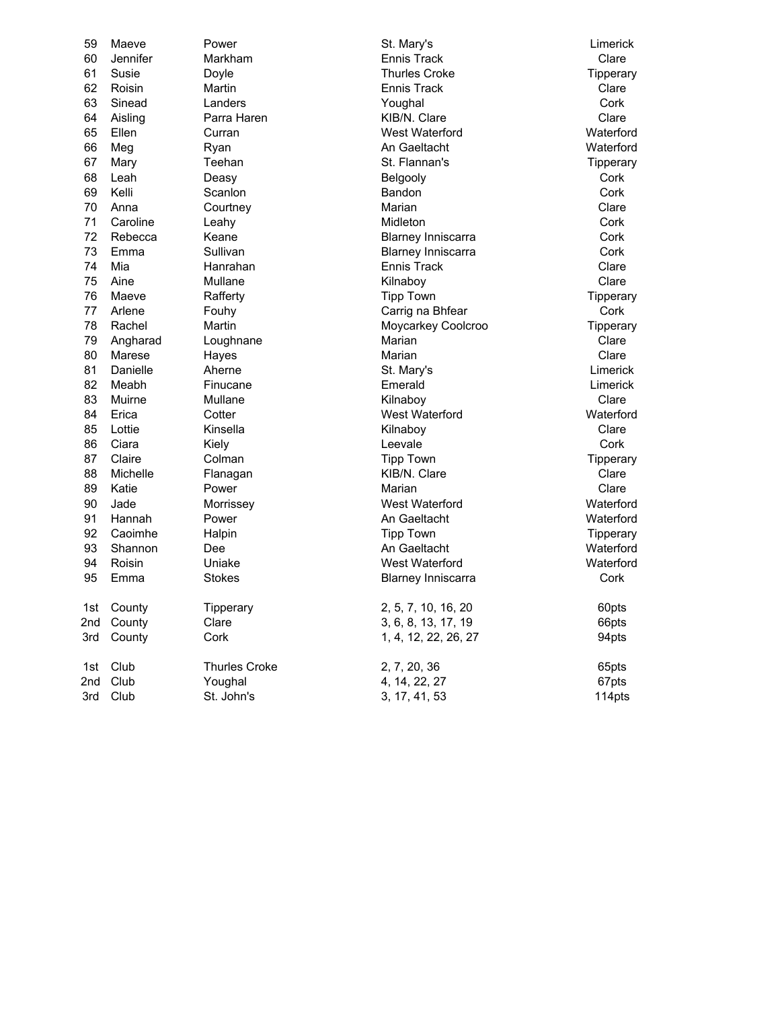| 59  | Maeve           | Power                | St. Mary's                | Limerick  |
|-----|-----------------|----------------------|---------------------------|-----------|
| 60  | <b>Jennifer</b> | Markham              | <b>Ennis Track</b>        | Clare     |
| 61  | Susie           | Doyle                | <b>Thurles Croke</b>      | Tipperary |
| 62  | Roisin          | Martin               | <b>Ennis Track</b>        | Clare     |
| 63  | Sinead          | Landers              | Youghal                   | Cork      |
| 64  | Aisling         | Parra Haren          | KIB/N. Clare              | Clare     |
| 65  | Ellen           | Curran               | West Waterford            | Waterford |
| 66  | Meg             | Ryan                 | An Gaeltacht              | Waterford |
| 67  | Mary            | Teehan               | St. Flannan's             | Tipperary |
| 68  | Leah            | Deasy                | Belgooly                  | Cork      |
| 69  | Kelli           | Scanlon              | Bandon                    | Cork      |
| 70  | Anna            | Courtney             | Marian                    | Clare     |
| 71  | Caroline        | Leahy                | Midleton                  | Cork      |
| 72  | Rebecca         | Keane                | <b>Blarney Inniscarra</b> | Cork      |
| 73  | Emma            | Sullivan             | <b>Blarney Inniscarra</b> | Cork      |
| 74  | Mia             | Hanrahan             | <b>Ennis Track</b>        | Clare     |
| 75  | Aine            | Mullane              | Kilnaboy                  | Clare     |
| 76  | Maeve           | Rafferty             | <b>Tipp Town</b>          | Tipperary |
| 77  | Arlene          | Fouhy                | Carrig na Bhfear          | Cork      |
| 78  | Rachel          | Martin               | Moycarkey Coolcroo        | Tipperary |
| 79  | Angharad        | Loughnane            | Marian                    | Clare     |
| 80  | Marese          | Hayes                | Marian                    | Clare     |
| 81  | Danielle        | Aherne               | St. Mary's                | Limerick  |
| 82  | Meabh           | Finucane             | Emerald                   | Limerick  |
| 83  | Muirne          | Mullane              | Kilnaboy                  | Clare     |
| 84  | Erica           | Cotter               | West Waterford            | Waterford |
| 85  | Lottie          | Kinsella             | Kilnaboy                  | Clare     |
| 86  | Ciara           | Kiely                | Leevale                   | Cork      |
| 87  | Claire          | Colman               | <b>Tipp Town</b>          | Tipperary |
| 88  | Michelle        | Flanagan             | KIB/N. Clare              | Clare     |
| 89  | Katie           | Power                | Marian                    | Clare     |
| 90  | Jade            | Morrissey            | West Waterford            | Waterford |
| 91  | Hannah          | Power                | An Gaeltacht              | Waterford |
| 92  | Caoimhe         | Halpin               | <b>Tipp Town</b>          | Tipperary |
| 93  | Shannon         | Dee                  | An Gaeltacht              | Waterford |
| 94  | Roisin          | Uniake               | West Waterford            | Waterford |
| 95  | Emma            | <b>Stokes</b>        | <b>Blarney Inniscarra</b> | Cork      |
| 1st | County          |                      | 2, 5, 7, 10, 16, 20       | 60pts     |
| 2nd | County          | Tipperary<br>Clare   | 3, 6, 8, 13, 17, 19       | 66pts     |
| 3rd | County          | Cork                 | 1, 4, 12, 22, 26, 27      | 94pts     |
|     |                 | <b>Thurles Croke</b> |                           |           |
| 1st | Club            |                      | 2, 7, 20, 36              | 65pts     |
| 2nd | Club            | Youghal              | 4, 14, 22, 27             | 67pts     |
| 3rd | Club            | St. John's           | 3, 17, 41, 53             | 114pts    |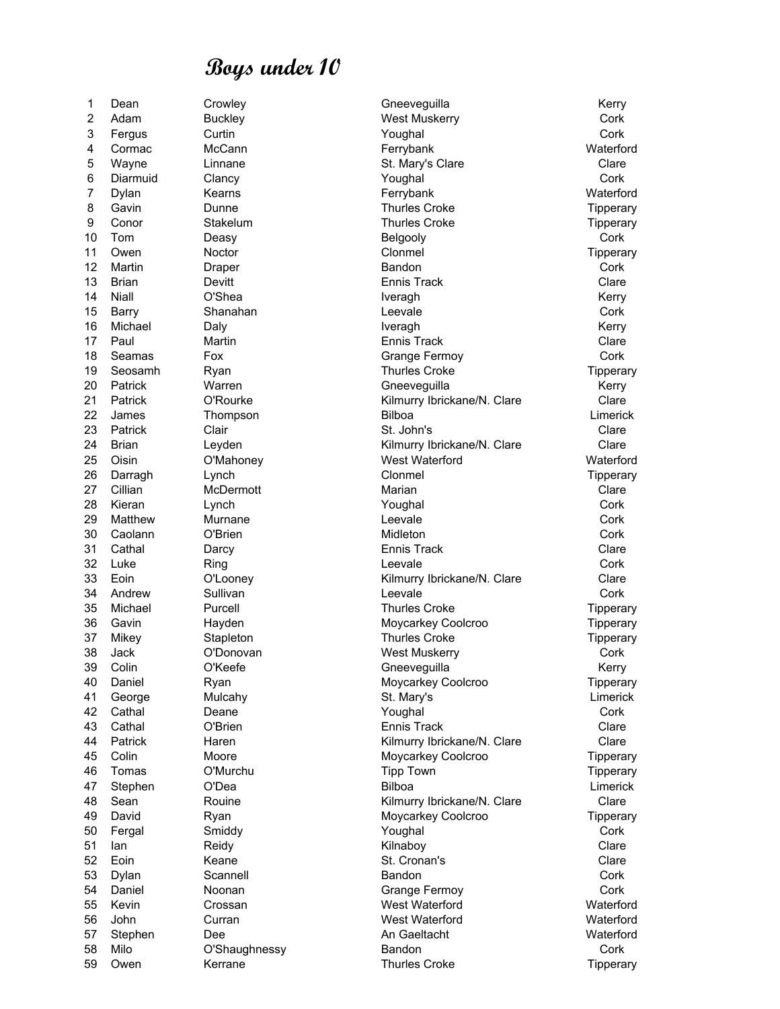59 Owen Kerrane Thurles Croke Thurles Croke Tipperary

1 Dean Crowley Crowley Gneeveguilla Communication Crowley 2 Adam Buckley **Buckley** West Muskerry **Cork** 3 Fergus Curtin Youghal Cork 4 Cormac McCann Ferrybank Waterford 5 Wayne Linnane Clare St. Mary's Clare Clare Clare Clare 6 Diarmuid Clancy Youghal Cork 7 Dylan Kearns Ferrybank Waterford 8 Gavin **Dunne Dunne Thurles Croke** Tipperary 9 Conor Stakelum Thurles Croke Tipperary 10 Tom Deasy Belgooly Cork 11 Owen Noctor Clonmel Tipperary 12 Martin Draper Bandon Cork 13 Brian Devitt Ennis Track Clare 14 Niall O'Shea Iveragh Kerry 15 Barry Shanahan Leevale Cork 16 Michael Daly Iveragh Kerry 17 Paul Martin **Martin Ennis Track** Ennis Track Clare 18 Seamas Fox For Grange Fermoy Cork 19 Seosamh Ryan **Thurles Croke** Thurles Croke Tipperary 20 Patrick Warren Gneeveguilla Constantino Kerry 21 Patrick C'Rourke (Clare Clare Kilmurry Ibrickane/N. Clare Clare Clare Clare Clare Clare Clare Clare Clare Clare<br>22 James Thompson (Clare Bilboa 22 James Thompson Bilboa Limerick 23 Patrick Clair St. John's Clare 24 Brian Leyden **Clare** Clare Clare Clare Clare Clare Clare Clare Clare 25 Oisin O'Mahoney West Waterford Waterford 26 Darragh Lynch Clonmel Tipperary 27 Cillian McDermott Marian Marian Clare 28 Kieran Lynch Youghal Cork 29 Matthew Murnane Leevale Cork 30 Caolann O'Brien Midleton Cork 31 Cathal Darcy Ennis Track Clare 32 Luke Ring Leevale Cork 33 Eoin O'Looney Kilmurry Ibrickane/N. Clare Clare 34 Andrew Sullivan Leevale Cork 35 Michael Purcell Thurles Croke Tipperary 36 Gavin Hayden Moycarkey Coolcroo Tipperary 37 Mikey Stapleton Stapleton Thurles Croke Tipperary 38 Jack O'Donovan West Muskerry Cork 39 Colin C'Keefe Gneeveguilla Gneeveguilla Kerry 40 Daniel **Ryan Ryan Ryan Moycarkey Coolcroo** Tipperary 41 George Mulcahy St. Mary's Limerick 42 Cathal Deane Youghal Cork 43 Cathal O'Brien Ennis Track Clare 44 Patrick Haren **Haren Clare** Kilmurry Ibrickane/N. Clare Clare Clare 45 Colin Moore Moycarkey Coolcroo Tipperary 46 Tomas O'Murchu Tipp Town Tipperary 47 Stephen O'Dea Bilboa Limerick 48 Sean Rouine Kilmurry Ibrickane/N. Clare Clare David Ryan Ryan Moycarkey Coolcroo Tipperary 50 Fergal Smiddy Youghal Cork 51 Ian Reidy Kilnaboy Clare 52 Eoin Keane St. Cronan's Clare 53 Dylan Scannell Bandon Cork 54 Daniel Moonan Cork Grange Fermoy Cork 55 Kevin Crossan West Waterford Waterford 56 John Curran West Waterford Waterford 57 Stephen Dee An Gaeltacht Waterford 58 Milo O'Shaughnessy Bandon Cork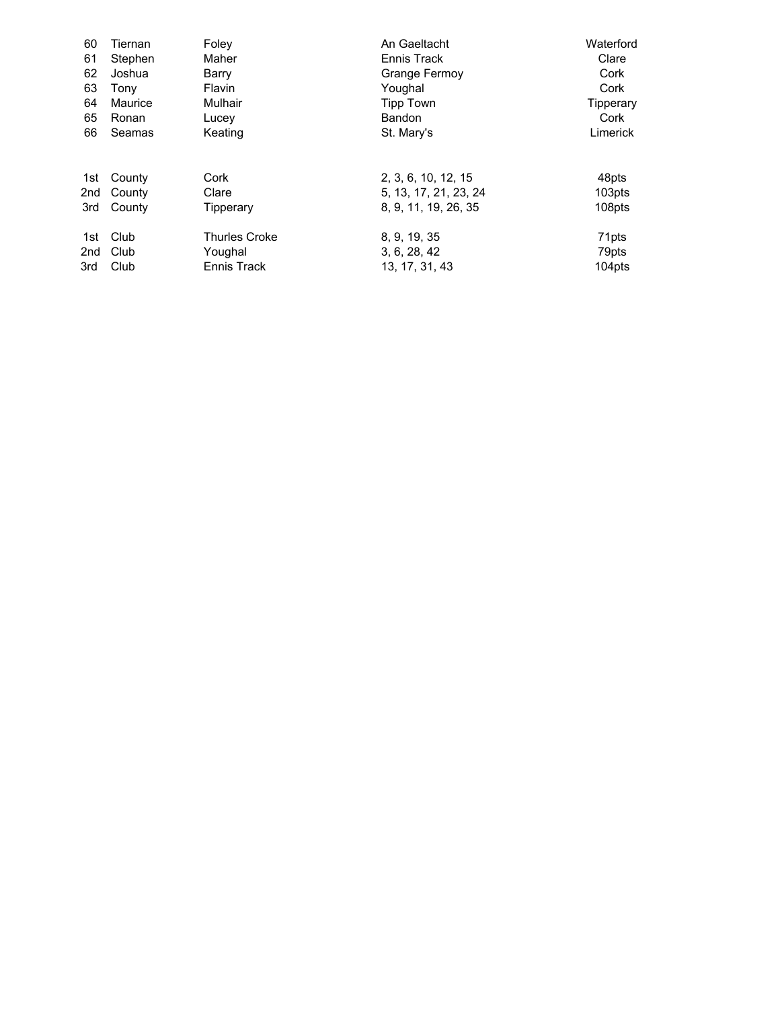| 60  | Tiernan | Foley                | An Gaeltacht          | Waterford |
|-----|---------|----------------------|-----------------------|-----------|
| 61  | Stephen | Maher                | Ennis Track           | Clare     |
| 62  | Joshua  | Barry                | Grange Fermoy         | Cork      |
| 63  | Tony    | Flavin               | Youghal               | Cork      |
| 64  | Maurice | Mulhair              | <b>Tipp Town</b>      | Tipperary |
| 65  | Ronan   | Lucey                | Bandon                | Cork      |
| 66  | Seamas  | Keating              | St. Mary's            | Limerick  |
| 1st | County  | Cork                 | 2, 3, 6, 10, 12, 15   | 48pts     |
| 2nd | County  | Clare                | 5, 13, 17, 21, 23, 24 | 103pts    |
| 3rd | County  | Tipperary            | 8, 9, 11, 19, 26, 35  | 108pts    |
| 1st | Club    | <b>Thurles Croke</b> | 8, 9, 19, 35          | 71pts     |
| 2nd | Club    | Youghal              | 3, 6, 28, 42          | 79pts     |
| 3rd | Club    | Ennis Track          | 13, 17, 31, 43        | 104pts    |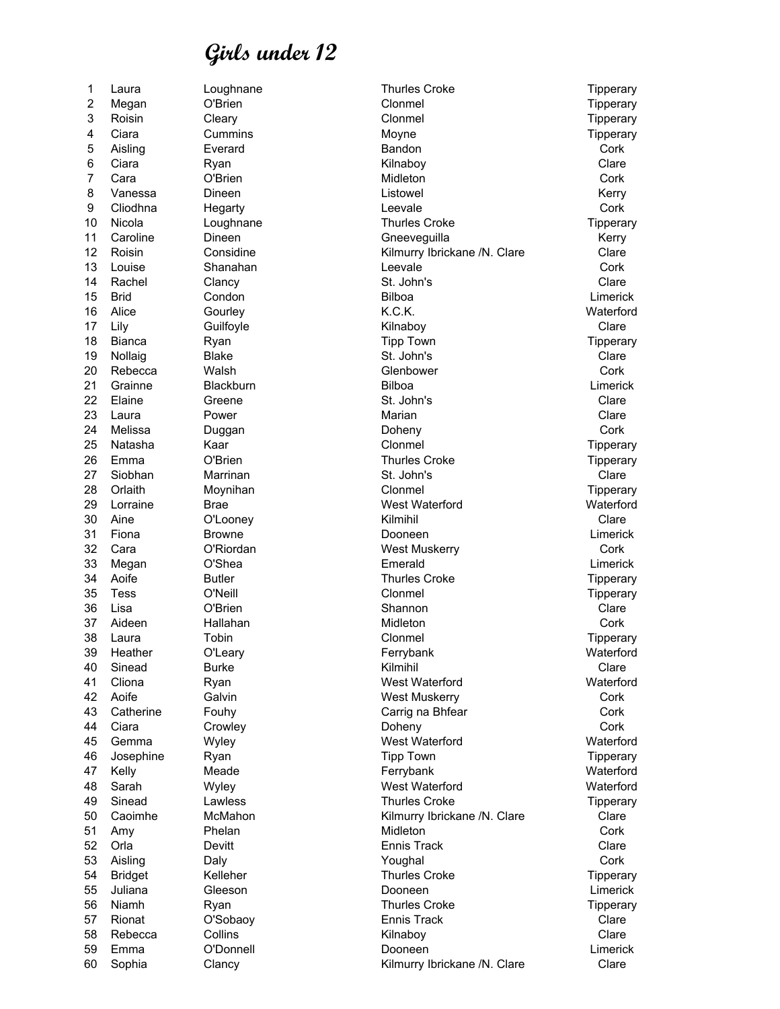60 Sophia Clancy Kilmurry Ibrickane /N. Clare Clare

1 Laura Loughnane **Thurles Croke** Thurles Croke Tipperary 2 Megan O'Brien Clonmel Tipperary 3 Roisin Cleary Clonmel Tipperary 4 Ciara Cummins Moyne Tipperary 5 Aisling Everard Bandon Cork 6 Ciara Ryan Kilnaboy Clare 7 Cara O'Brien Midleton Cork 8 Vanessa Dineen Listowel Kerry 9 Cliodhna Hegarty Leevale Cork 10 Nicola Loughnane Communic Croke Thurles Croke Tipperary 11 Caroline Dineen **Gneeveguilla** Caroline Kerry 12 Roisin Considine Constant Considine Constant Constant Constant Research Clare Clare Clare 13 Louise Shanahan Leevale Cork 14 Rachel Clancy St. John's Clare 15 Brid Condon Bilboa Limerick 16 Alice Gourley K.C.K. Waterford 17 Lily Guilfoyle Kilnaboy Clare 18 Bianca Ryan Tipp Town Tipperary 19 Nollaig Blake St. John's Clare 20 Rebecca Walsh Glenbower Cork 21 Grainne Blackburn Bilboa Limerick 22 Elaine Greene St. John's Clare 23 Laura Power Marian Clare 24 Melissa Duggan Doheny Cork 25 Natasha Kaar Clonmel Tipperary 26 Emma C'Brien Constant C'Arien Thurles Croke Tipperary Tipperary 27 Siobhan Marrinan St. John's Clare 28 Orlaith Moynihan Clonmel Tipperary 29 Lorraine Brae West Waterford Waterford 30 Aine O'Looney Kilmihil Clare 31 Fiona Browne Dooneen Limerick 32 Cara O'Riordan West Muskerry Cork 33 Megan O'Shea Emerald Limerick 34 Aoife Butler Thurles Croke Tipperary 35 Tess O'Neill Clonmel Tipperary 36 Lisa O'Brien Shannon Clare 37 Aideen Hallahan Midleton Cork 38 Laura Tobin Clonmel Tipperary 39 Heather O'Leary Ferrybank Waterford 40 Sinead Burke **Kilmihil** Clare Clare 41 Cliona Ryan West Waterford Waterford 42 Aoife Galvin West Muskerry Cork 43 Catherine Fouhy Carrig na Bhfear Cork 44 Ciara Crowley Doheny Cork 45 Gemma Wyley West Waterford Waterford 46 Josephine Ryan Tipp Town Tipperary 47 Kelly Meade Ferrybank Waterford 48 Sarah Wyley West Waterford Waterford 49 Sinead Lawless **Thurles Croke** The Tipperary 50 Caoimhe McMahon McMahon Kilmurry Ibrickane /N. Clare Clare Clare 51 Amy Phelan Midleton Cork 52 Orla Devitt Ennis Track Clare 53 Aisling Daly Youghal Cork 54 Bridget Kelleher Thurles Croke Tipperary 55 Juliana Gleeson Dooneen Limerick 56 Niamh Ryan Thurles Croke Tipperary 57 Rionat O'Sobaoy Ennis Track Clare 58 Rebecca Collins Kilnaboy Clare 59 Emma O'Donnell Dooneen Limerick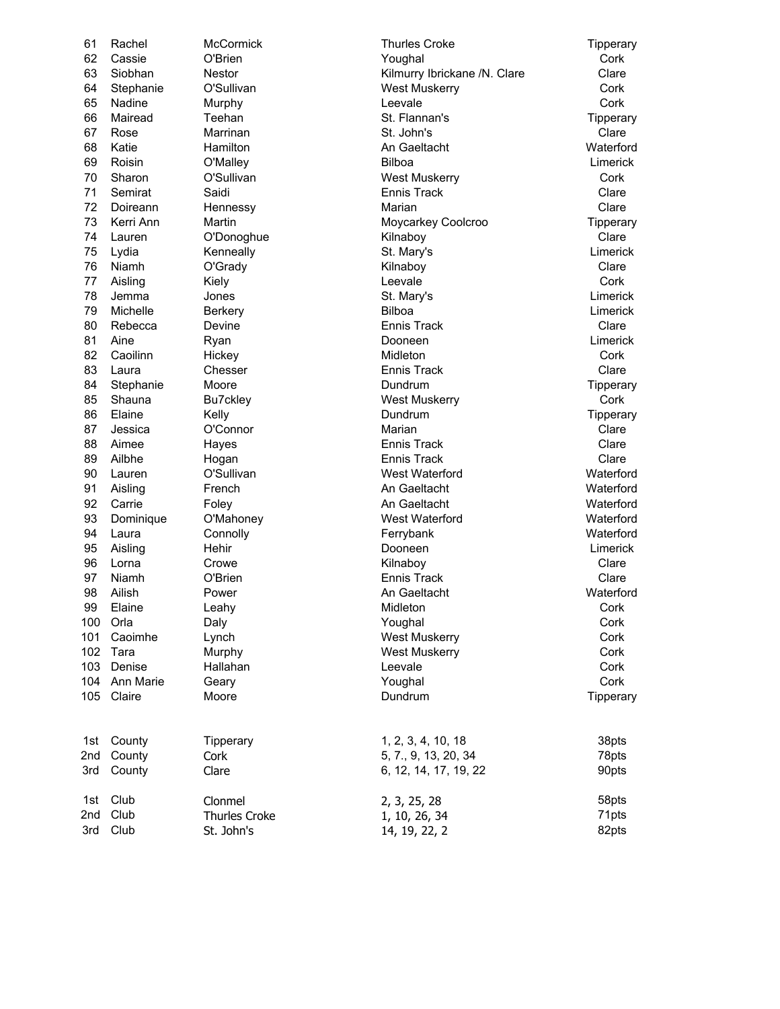| 61  | Rachel        | McCormick            | <b>Thurles Croke</b>         | Tipperary |
|-----|---------------|----------------------|------------------------------|-----------|
| 62  | Cassie        | O'Brien              | Youghal                      | Cork      |
| 63  | Siobhan       | <b>Nestor</b>        | Kilmurry Ibrickane /N. Clare | Clare     |
| 64  | Stephanie     | O'Sullivan           | West Muskerry                | Cork      |
| 65  | Nadine        | Murphy               | Leevale                      | Cork      |
| 66  | Mairead       | Teehan               | St. Flannan's                | Tipperary |
| 67  | Rose          | Marrinan             | St. John's                   | Clare     |
| 68  | Katie         | Hamilton             | An Gaeltacht                 | Waterford |
| 69  | Roisin        | O'Malley             | <b>Bilboa</b>                | Limerick  |
| 70  | Sharon        | O'Sullivan           | <b>West Muskerry</b>         | Cork      |
| 71  | Semirat       | Saidi                | <b>Ennis Track</b>           | Clare     |
| 72  | Doireann      | Hennessy             | Marian                       | Clare     |
| 73  | Kerri Ann     | Martin               | Moycarkey Coolcroo           | Tipperary |
| 74  | Lauren        | O'Donoghue           | Kilnaboy                     | Clare     |
| 75  | Lydia         | Kenneally            | St. Mary's                   | Limerick  |
| 76  | Niamh         | O'Grady              | Kilnaboy                     | Clare     |
| 77  | Aisling       | Kiely                | Leevale                      | Cork      |
| 78  | Jemma         | Jones                | St. Mary's                   | Limerick  |
| 79  | Michelle      | <b>Berkery</b>       | <b>Bilboa</b>                | Limerick  |
| 80  | Rebecca       | Devine               | <b>Ennis Track</b>           | Clare     |
| 81  | Aine          | Ryan                 | Dooneen                      | Limerick  |
| 82  | Caoilinn      | Hickey               | Midleton                     | Cork      |
| 83  | Laura         | Chesser              | <b>Ennis Track</b>           | Clare     |
| 84  | Stephanie     | Moore                | Dundrum                      | Tipperary |
| 85  | Shauna        | Bu7ckley             | <b>West Muskerry</b>         | Cork      |
| 86  | Elaine        | Kelly                | Dundrum                      | Tipperary |
| 87  | Jessica       | O'Connor             | Marian                       | Clare     |
| 88  | Aimee         | Hayes                | <b>Ennis Track</b>           | Clare     |
| 89  | Ailbhe        | Hogan                | <b>Ennis Track</b>           | Clare     |
| 90  | Lauren        | O'Sullivan           | West Waterford               | Waterford |
| 91  | Aisling       | French               | An Gaeltacht                 | Waterford |
| 92  | Carrie        | Foley                | An Gaeltacht                 | Waterford |
| 93  | Dominique     | O'Mahoney            | West Waterford               | Waterford |
| 94  | Laura         | Connolly             | Ferrybank                    | Waterford |
| 95  | Aisling       | Hehir                | Dooneen                      | Limerick  |
| 96  | Lorna         | Crowe                | Kilnaboy                     | Clare     |
| 97  | Niamh         | O'Brien              | <b>Ennis Track</b>           | Clare     |
| 98  | Ailish        | Power                | An Gaeltacht                 | Waterford |
| 99  | Elaine        | Leahy                | Midleton                     | Cork      |
| 100 | Orla          | Daly                 | Youghal                      | Cork      |
| 101 | Caoimhe       | Lynch                | <b>West Muskerry</b>         | Cork      |
|     | 102 Tara      | Murphy               | <b>West Muskerry</b>         | Cork      |
|     | 103 Denise    | Hallahan             | Leevale                      | Cork      |
|     | 104 Ann Marie | Geary                | Youghal                      | Cork      |
|     | 105 Claire    | Moore                | Dundrum                      | Tipperary |
|     |               |                      |                              |           |
| 1st | County        | Tipperary            | 1, 2, 3, 4, 10, 18           | 38pts     |
| 2nd | County        | Cork                 | 5, 7., 9, 13, 20, 34         | 78pts     |
| 3rd | County        | Clare                | 6, 12, 14, 17, 19, 22        | 90pts     |
| 1st | Club          | Clonmel              | 2, 3, 25, 28                 | 58pts     |
| 2nd | Club          | <b>Thurles Croke</b> | 1, 10, 26, 34                | 71pts     |
| 3rd | Club          | St. John's           | 14, 19, 22, 2                | 82pts     |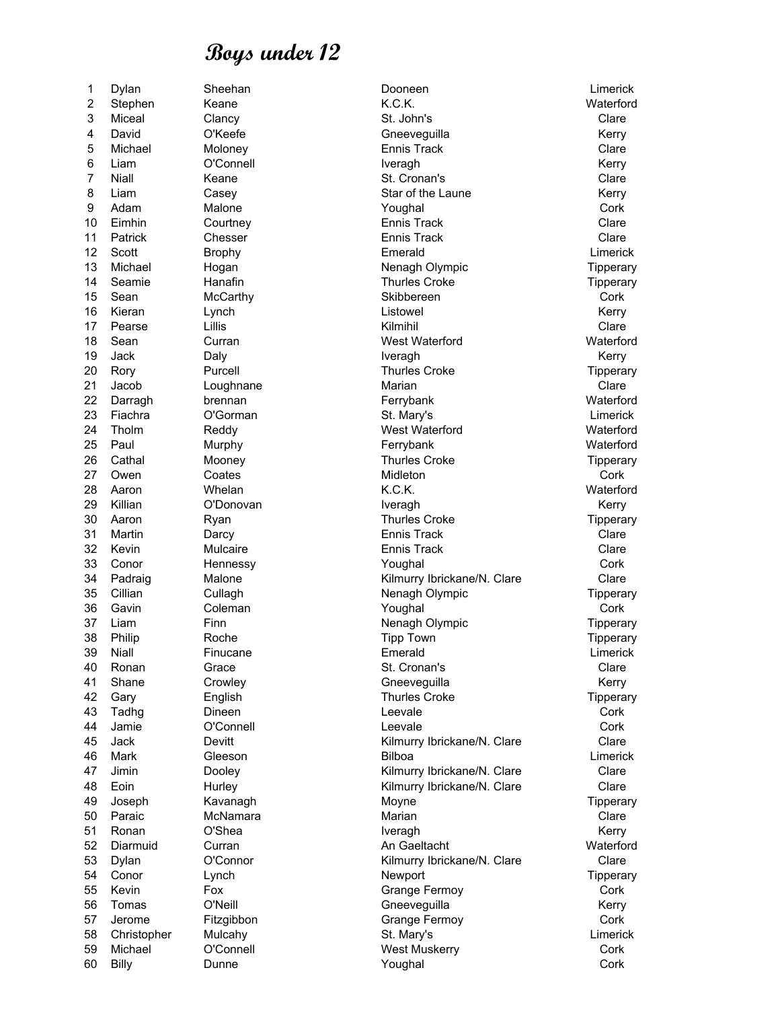60 Billy Dunne Youghal Cork

1 Dylan Sheehan Dooneen Limerick 2 Stephen Keane Keane K.C.K. K.C.K. Waterford 3 Miceal Clancy St. John's Clare 4 David C'Keefe Government Cheeveguilla Cheeveguilla Kerry 5 Michael Moloney Ennis Track Clare 6 Liam O'Connell Iveragh Kerry 7 Niall 6 Keane St. Cronan's Steed Clare 8 Liam Casey Casew Star of the Laune Kerry 9 Adam Malone Youghal Cork 10 Eimhin Courtney Ennis Track Clare 11 Patrick Chesser Ennis Track Clare 12 Scott Brophy Emerald Limerick 13 Michael Hogan **Nenagh Olympic** Tipperary 14 Seamie 19 Hanafin 19 Thurles Croke 19 Tipperary 15 Sean McCarthy Skibbereen Skipper Cork 16 Kieran Lynch Listowel Kerry 17 Pearse Lillis Kilmihil Clare 18 Sean Curran West Waterford Waterford 19 Jack Daly Iveragh Kerry 20 Rory **Purcell** Purcell **Thurles Croke** The Tipperary 21 Jacob Loughnane Marian Clare 22 Darragh brennan Ferrybank Waterford 23 Fiachra O'Gorman St. Mary's Limerick 24 Tholm Reddy West Waterford Waterford 25 Paul Murphy Ferrybank Waterford 26 Cathal Mooney Thurles Croke Tipperary 27 Owen Coates Midleton Cork 28 Aaron Whelan K.C.K. Waterford 29 Killian O'Donovan Iveragh Kerry 30 Aaron Ryan Ryan Thurles Croke Tipperary 31 Martin Darcy Ennis Track Clare 32 Kevin Mulcaire Ennis Track Clare 33 Conor Hennessy Youghal Cork 34 Padraig Malone Malone Kilmurry Ibrickane/N. Clare Clare Clare 35 Cillian Cullagh **Cullagh** Nenagh Olympic Tipperary 36 Gavin Coleman Youghal Cork 37 Liam Finn Finn Nenagh Olympic Tipperary 38 Philip Roche Tipp Town Tipperary 39 Niall Finucane Emerald Limerick 40 Ronan Grace St. Cronan's St. Cronanis Clare 41 Shane Crowley Crowley Gneevequilla Channel Kerry 42 Gary English Thurles Croke Tipperary 43 Tadhg Dineen Leevale Cork 44 Jamie O'Connell Leevale Cork 45 Jack Devitt **Devitt Clare** Kilmurry Ibrickane/N. Clare Clare Clare 46 Mark Gleeson Bilboa Limerick 47 Jimin Dooley **Conserverse Clare** Kilmurry Ibrickane/N. Clare Clare Clare 48 Eoin Hurley **Hurley Kilmurry Ibrickane/N. Clare** Clare 49 Joseph Kavanagh Moyne Tipperary 50 Paraic McNamara Marian Clare 51 Ronan O'Shea Iveragh Kerry 52 Diarmuid Curran An Gaeltacht Waterford 53 Dylan O'Connor Kilmurry Ibrickane/N. Clare Clare 54 Conor Lynch Newport Tipperary 55 Kevin Fox **Fox** Grange Fermoy Cork 56 Tomas O'Neill Gneeveguilla Kerry 57 Jerome Fitzgibbon **Filty** Fitzgibbon Grange Fermoy Cork 58 Christopher Mulcahy St. Mary's St. Mary's St. Mary's Limerick 59 Michael O'Connell West Muskerry Cork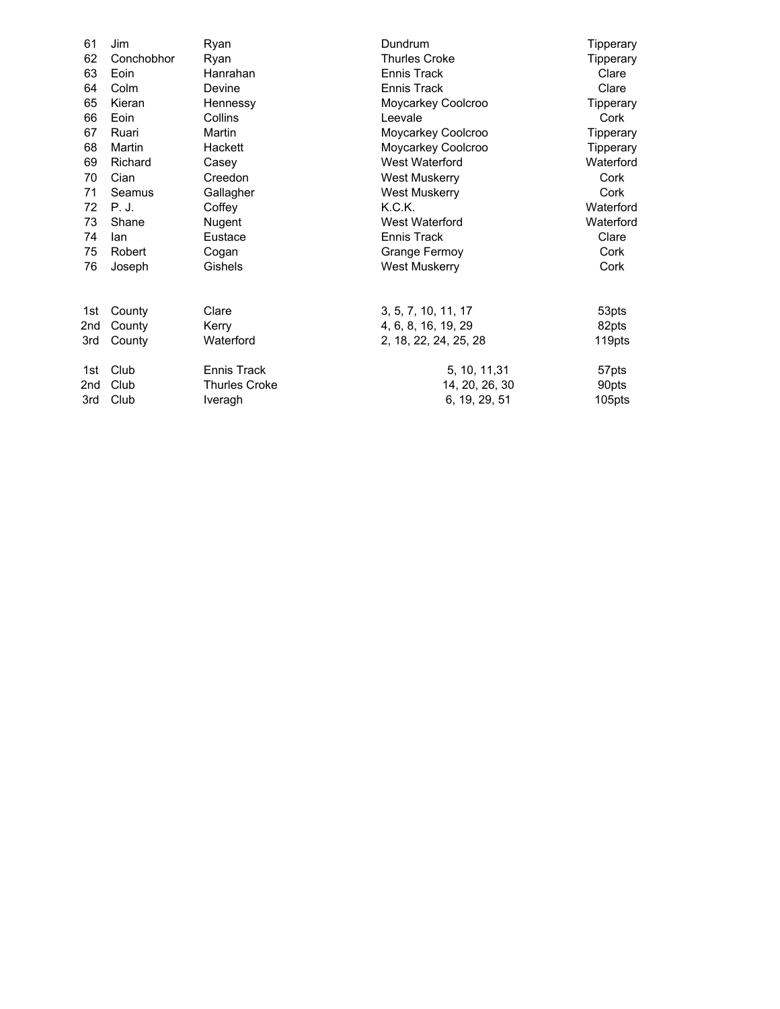| 61  | Jim        | Ryan                 | Dundrum               | Tipperary |
|-----|------------|----------------------|-----------------------|-----------|
| 62  | Conchobhor | Ryan                 | <b>Thurles Croke</b>  | Tipperary |
| 63  | Eoin       | Hanrahan             | Ennis Track           | Clare     |
| 64  | Colm       | Devine               | Ennis Track           | Clare     |
| 65  | Kieran     | Hennessy             | Moycarkey Coolcroo    | Tipperary |
| 66  | Eoin       | Collins              | Leevale               | Cork      |
| 67  | Ruari      | Martin               | Moycarkey Coolcroo    | Tipperary |
| 68  | Martin     | Hackett              | Moycarkey Coolcroo    | Tipperary |
| 69  | Richard    | Casey                | West Waterford        | Waterford |
| 70  | Cian       | Creedon              | <b>West Muskerry</b>  | Cork      |
| 71  | Seamus     | Gallagher            | <b>West Muskerry</b>  | Cork      |
| 72  | P. J.      | Coffey               | K.C.K.                | Waterford |
| 73  | Shane      | Nugent               | West Waterford        | Waterford |
| 74  | lan        | Eustace              | Ennis Track           | Clare     |
| 75  | Robert     | Cogan                | Grange Fermoy         | Cork      |
| 76  | Joseph     | Gishels              | <b>West Muskerry</b>  | Cork      |
| 1st | County     | Clare                | 3, 5, 7, 10, 11, 17   | 53pts     |
| 2nd | County     | Kerry                | 4, 6, 8, 16, 19, 29   | 82pts     |
| 3rd | County     | Waterford            | 2, 18, 22, 24, 25, 28 | 119pts    |
| 1st | Club       | Ennis Track          | 5, 10, 11, 31         | 57pts     |
| 2nd | Club       | <b>Thurles Croke</b> | 14, 20, 26, 30        | 90pts     |
| 3rd | Club       | Iveragh              | 6, 19, 29, 51         | 105pts    |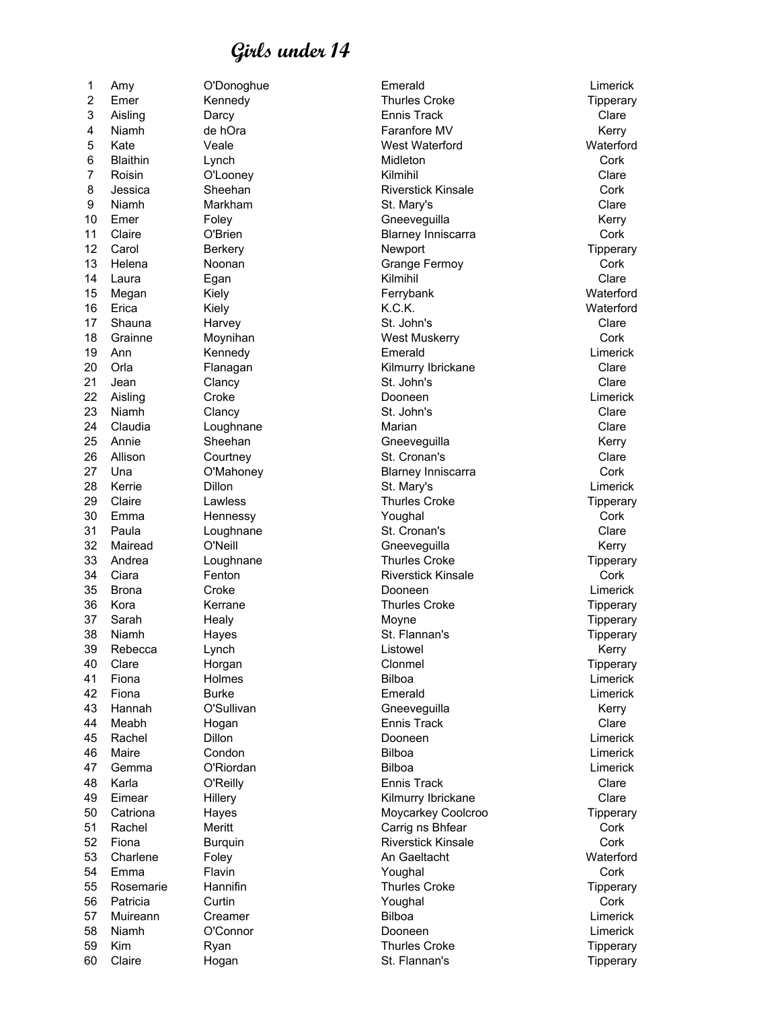2 Emer Kennedy **Thurles Croke** Thures Croke Tipperary 3 Aisling Darcy Ennis Track Clare 4 Niamh de hOra **Faranfore MV** Shannon Kerry 5 Kate Veale West Waterford Waterford 6 Blaithin Lynch Midleton Cork 7 Roisin O'Looney Kilmihil Clare 8 Jessica Sheehan **Riverstick Kinsale** Cork 9 Niamh Markham St. Mary's Clare 10 Emer Foley **Foley Contains Conceyequilla** Contains the Kerry 11 Claire O'Brien Blarney Inniscarra Cork 12 Carol Berkery Newport Tipperary 13 Helena Noonan **Grange Fermoy** Cork 14 Laura Egan Kilmihil Clare 15 Megan Kiely Ferrybank Waterford 16 Erica Kiely K.C.K. Waterford 17 Shauna Harvey St. John's Clare 18 Grainne Moynihan West Muskerry Cork 19 Ann Kennedy Emerald Limerick 20 Orla Flanagan Kilmurry Ibrickane Clare 21 Jean Clancy St. John's Clare 22 Aisling Croke Dooneen Limerick 23 Niamh Clancy St. John's Clare 24 Claudia Loughnane Marian Clare 25 Annie Sheehan Gneeveguilla Kerry 26 Allison Courtney Court St. Cronan's Clare 27 Una O'Mahoney Blarney Inniscarra Cork 28 Kerrie Dillon St. Mary's Limerick 29 Claire Lawless **Containers** Croke Thurles Croke Tipperary 30 Emma Hennessy Youghal Cork 31 Paula Loughnane St. Cronan's Clare 32 Mairead O'Neill Gneeveguilla Kerry 33 Andrea Loughnane Thurles Croke 34 Ciara Fenton Riverstick Kinsale Cork 35 Brona Croke Dooneen Limerick 36 Kora Kerrane Thurles Croke Tipperary 37 Sarah Healy Moyne Tipperary 38 Niamh Hayes St. Flannan's Tipperary 39 Rebecca Lynch Listowel Kerry 40 Clare Horgan Clonmel Tipperary 41 Fiona Holmes Bilboa Limerick 42 Fiona Burke Emerald Limerick 43 Hannah O'Sullivan Gheeveguilla Gneeveguilla Kerry 44 Meabh Hogan Ennis Track Clare 45 Rachel Dillon Dooneen Limerick 46 Maire Condon Bilboa Limerick 47 Gemma O'Riordan Bilboa Limerick 48 Karla O'Reilly Ennis Track Clare 49 Eimear Hillery Kilmurry Ibrickane Clare 50 Catriona Hayes **Moycarkey Coolcroo** Tipperary 51 Rachel Meritt Carrig ns Bhfear Cork Carrig ns and Cork 52 Fiona Burquin Riverstick Kinsale Cork 53 Charlene Foley **An Gaeltacht** Materford Waterford 54 Emma Flavin Youghal Cork 55 Rosemarie Hannifin **Network Croke** Thurles Croke Tipperary Tipperary 56 Patricia Curtin Youghal Cork 57 Muireann Creamer **Creamer Bilboa** Bilboa **Limerick** 58 Niamh O'Connor Dooneen Limerick 59 Kim Ryan Ryan Thurles Croke Tipperary 60 Claire Hogan St. Flannan's Tipperary

1 Amy O'Donoghue Emerald Limerick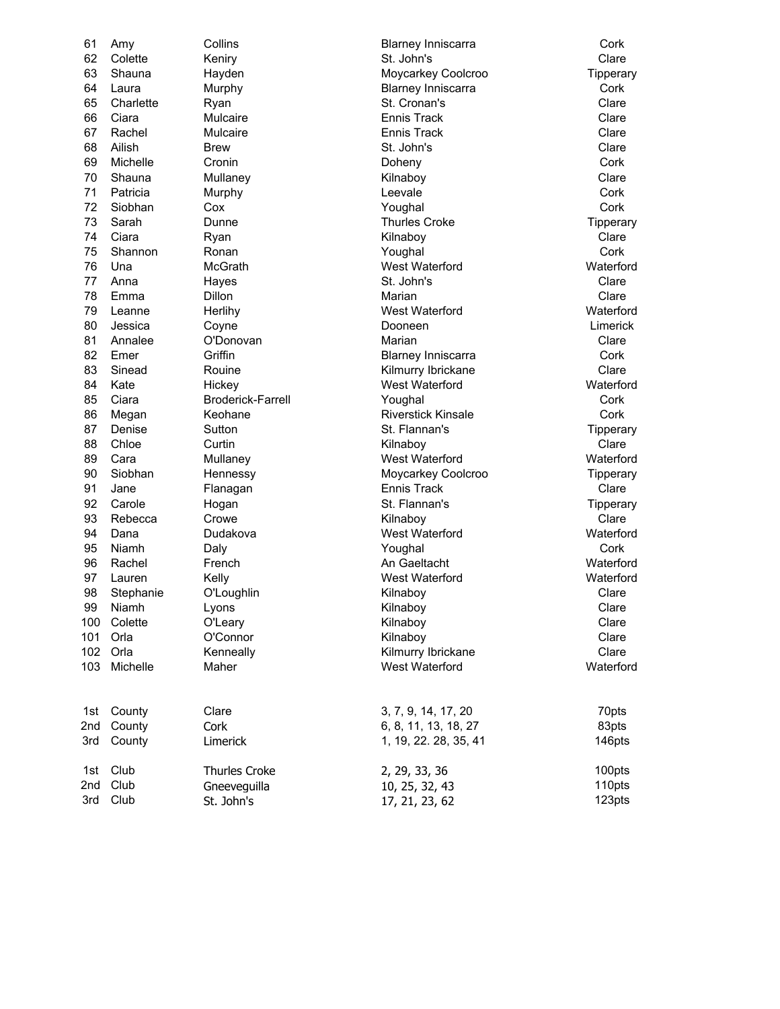62 Colette Keniry St. John's Clare 63 Shauna Hayden Moycarkey Coolcroo Tipperary 64 Laura Murphy Blarney Inniscarra Cork 65 Charlette Ryan St. Cronan's St. Cronan's Clare 66 Ciara Mulcaire Ennis Track Clare 67 Rachel Mulcaire Ennis Track Clare 68 Ailish Brew St. John's Clare 69 Michelle Cronin Doheny Cork 70 Shauna Mullaney Kilnaboy Clare 71 Patricia Murphy Leevale Cork 72 Siobhan Cox Youghal Cork 73 Sarah Dunne Thurles Croke Tipperary 74 Ciara Ryan Kilnaboy Clare 75 Shannon Ronan Youghal Cork 76 Una McGrath West Waterford Waterford 77 Anna Hayes St. John's Clare 78 Emma Dillon Marian Clare 79 Leanne Herlihy West Waterford Waterford 80 Jessica Coyne Dooneen Limerick 81 Annalee O'Donovan Marian Clare 82 Emer Griffin Griffin Blarney Inniscarra Cork 83 Sinead Rouine **Rouine** Kilmurry Ibrickane Clare Clare 84 Kate Hickey Hickey West Waterford West Waterford Waterford 85 Ciara Broderick-Farrell Youghal Cork 86 Megan Keohane **Riverstick Kinsale** Cork 87 Denise Sutton Sutton Sutton St. Flannan's Steeds Sutton Steeds Steeds Steeds Steeds Steeds Steeds Steeds Steeds Steeds Steeds Steeds Steeds Steeds Steeds Steeds Steeds Steeds Steeds Steeds Steeds Steeds Steeds Steeds St 88 Chloe Curtin Kilnaboy Clare 89 Cara Mullaney West Waterford West Waterford 90 Siobhan Hennessy Moycarkey Coolcroo Tipperary 91 Jane Flanagan Ennis Track Clare 92 Carole **Hogan** Hogan St. Flannan's St. Flannan's Tipperary 93 Rebecca Crowe Kilnaboy Clare 94 Dana Dudakova West Waterford Waterford 95 Niamh Daly Youghal Cork 96 Rachel French An Gaeltacht Waterford 97 Lauren Kelly West Waterford Waterford 98 Stephanie O'Loughlin Kilnaboy Clare 99 Niamh Lyons Kilnaboy Clare 100 Colette O'Leary Kilnaboy Clare 101 Orla O'Connor Kilnaboy Clare 102 Orla Kenneally Kilmurry Ibrickane Clare 103 Michelle Maher West Waterford Waterford 1st County Clare 3, 7, 9, 14, 17, 20 70pts 2nd County Cork 6, 8, 11, 13, 18, 27 83pts 3rd County Limerick 1, 19, 22. 28, 35, 41 146pts

61 Amy Collins Blarney Inniscarra Cork

| 1st Club | Thurles Croke | 2, 29, 33, 36  | 100pts |
|----------|---------------|----------------|--------|
| 2nd Club | Gneeveguilla  | 10, 25, 32, 43 | 110pts |
| 3rd Club | St. John's    | 17, 21, 23, 62 | 123pts |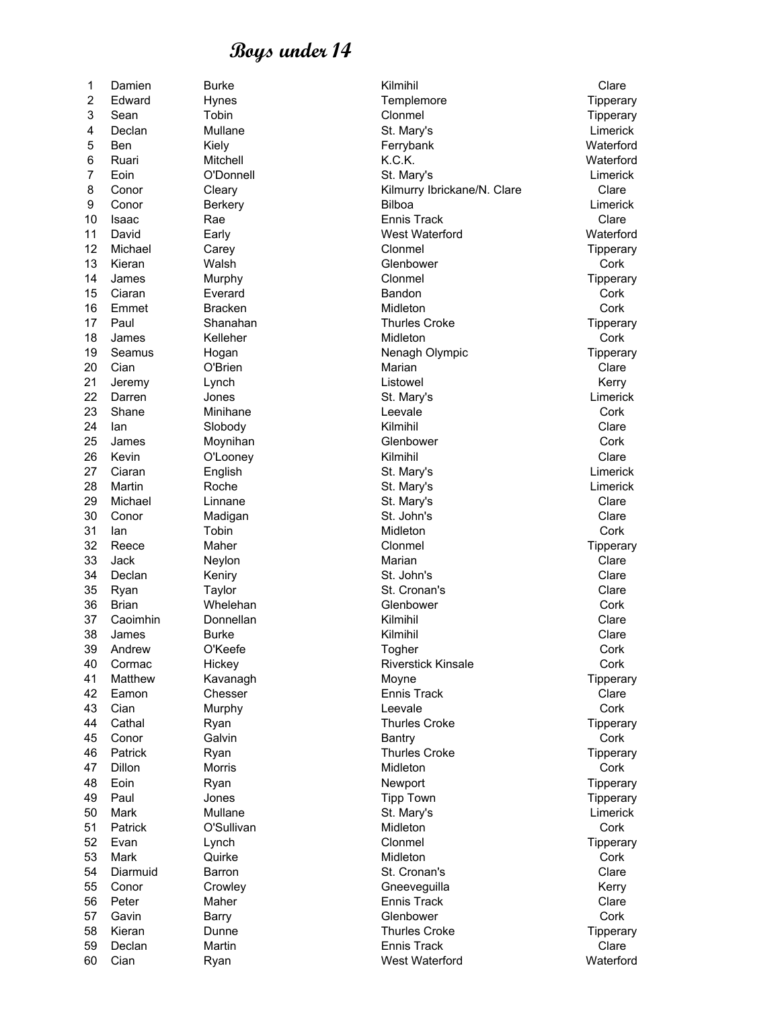8 Conor Cleary Cleary Kilmurry Ibrickane/N. Clare Clare Clare 10 Isaac Rae Ennis Track Clare 11 David Early West Waterford Waterford 12 Michael Carey Clonmel Tipperary 13 Kieran Walsh Glenbower Cork 14 James Murphy **Murphy Clonmel** Clonmel Tipperary 15 Ciaran Everard Bandon Cork 16 Emmet Bracken and Midleton Cork 17 Paul Shanahan Shanahan Thurles Croke Tipperary 18 James Kelleher Midleton Cork 19 Seamus Hogan Nenagh Olympic Tipperary 20 Cian O'Brien Marian Clare 21 Jeremy Lynch Listowel Kerry 22 Darren Jones St. Mary's Limerick 23 Shane Minihane Leevale Cork 24 Ian Slobody Kilmihil Clare 25 James Moynihan Glenbower Cork 26 Kevin O'Looney Kilmihil Clare 27 Ciaran English St. Mary's Limerick 28 Martin Roche St. Mary's Limerick 29 Michael Linnane St. Mary's Clare 30 Conor Madigan St. John's Clare 31 Ian Tobin Midleton Cork 32 Reece Maher Clonmel Tipperary 33 Jack Neylon Marian Clare 34 Declan Keniry St. John's Clare 35 Ryan Taylor St. Cronan's Clare 36 Brian Whelehan Glenbower Cork 37 Caoimhin Donnellan Kilmihil Clare 38 James Burke Kilmihil Clare 39 Andrew O'Keefe Togher Cork 40 Cormac Hickey Riverstick Kinsale Cork 41 Matthew Kavanagh Moyne Tipperary 42 Eamon Chesser Chesser Ennis Track Clare 43 Cian Murphy Leevale Cork 44 Cathal **Ryan Ryan Ryan Thurles Croke** The Tipperary 45 Conor Galvin Bantry Cork 46 Patrick Ryan Ryan Thurles Croke Tipperary 47 Dillon Morris Midleton Cork 48 Eoin Ryan Newport Tipperary 49 Paul Jones Tipp Town Tipperary 50 Mark Mullane St. Mary's Limerick 51 Patrick O'Sullivan Midleton Cork 52 Evan Lynch Clonmel Tipperary 53 Mark Quirke Midleton Cork 54 Diarmuid Barron St. Cronan's Clare 55 Conor Crowley Crowley Gneeveguilla Conor Kerry 56 Peter Maher Ennis Track Clare 57 Gavin Barry Glenbower Cork 58 Kieran Dunne Thurles Croke Tipperary 59 Declan Martin Ennis Track Clare 60 Cian Ryan West Waterford Waterford

1 Damien Burke **Kilmihil** Clare Clare 2 Edward Hynes The Templemore Templemore Tipperary 3 Sean Tobin Clonmel Tipperary 4 Declan Mullane St. Mary's Limerick 5 Ben Kiely Ferrybank Waterford 6 Ruari Mitchell Mitchell K.C.K. CH. Materford 7 Eoin C'Donnell St. Mary's St. Mary's Eoin Limerick 9 Conor Berkery Bilboa Limerick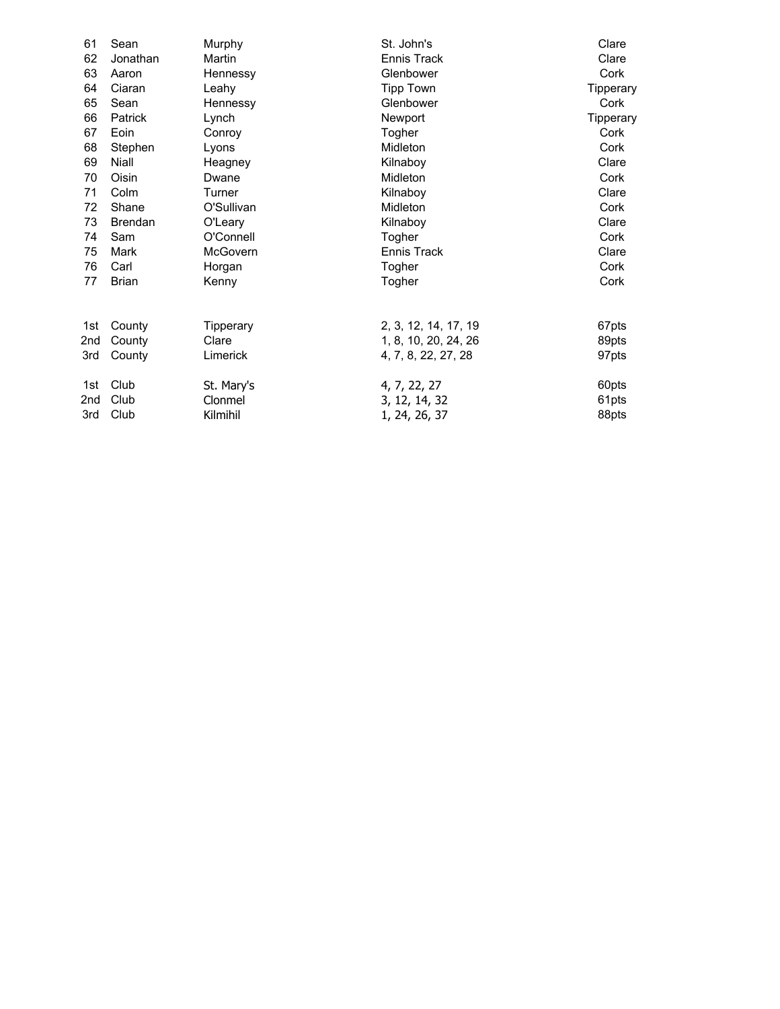| 61              | Sean           | Murphy     | St. John's           | Clare     |
|-----------------|----------------|------------|----------------------|-----------|
| 62              | Jonathan       | Martin     | Ennis Track          | Clare     |
| 63              | Aaron          | Hennessy   | Glenbower            | Cork      |
| 64              | Ciaran         | Leahy      | Tipp Town            | Tipperary |
| 65              | Sean           | Hennessy   | Glenbower            | Cork      |
| 66              | Patrick        | Lynch      | Newport              | Tipperary |
| 67              | Eoin           | Conroy     | Togher               | Cork      |
| 68              | Stephen        | Lyons      | Midleton             | Cork      |
| 69              | Niall          | Heagney    | Kilnaboy             | Clare     |
| 70              | Oisin          | Dwane      | Midleton             | Cork      |
| 71              | Colm           | Turner     | Kilnaboy             | Clare     |
| 72              | Shane          | O'Sullivan | Midleton             | Cork      |
| 73              | <b>Brendan</b> | O'Leary    | Kilnaboy             | Clare     |
| 74              | Sam            | O'Connell  | Togher               | Cork      |
| 75              | Mark           | McGovern   | Ennis Track          | Clare     |
| 76              | Carl           | Horgan     | Togher               | Cork      |
| 77              | <b>Brian</b>   | Kenny      | Togher               | Cork      |
| 1st             | County         | Tipperary  | 2, 3, 12, 14, 17, 19 | 67pts     |
| 2nd             | County         | Clare      | 1, 8, 10, 20, 24, 26 | 89pts     |
| 3rd             | County         | Limerick   | 4, 7, 8, 22, 27, 28  | 97pts     |
| 1st             | Club           | St. Mary's | 4, 7, 22, 27         | 60pts     |
| 2 <sub>nd</sub> | Club           | Clonmel    | 3, 12, 14, 32        | 61pts     |
| 3rd             | Club           | Kilmihil   | 1, 24, 26, 37        | 88pts     |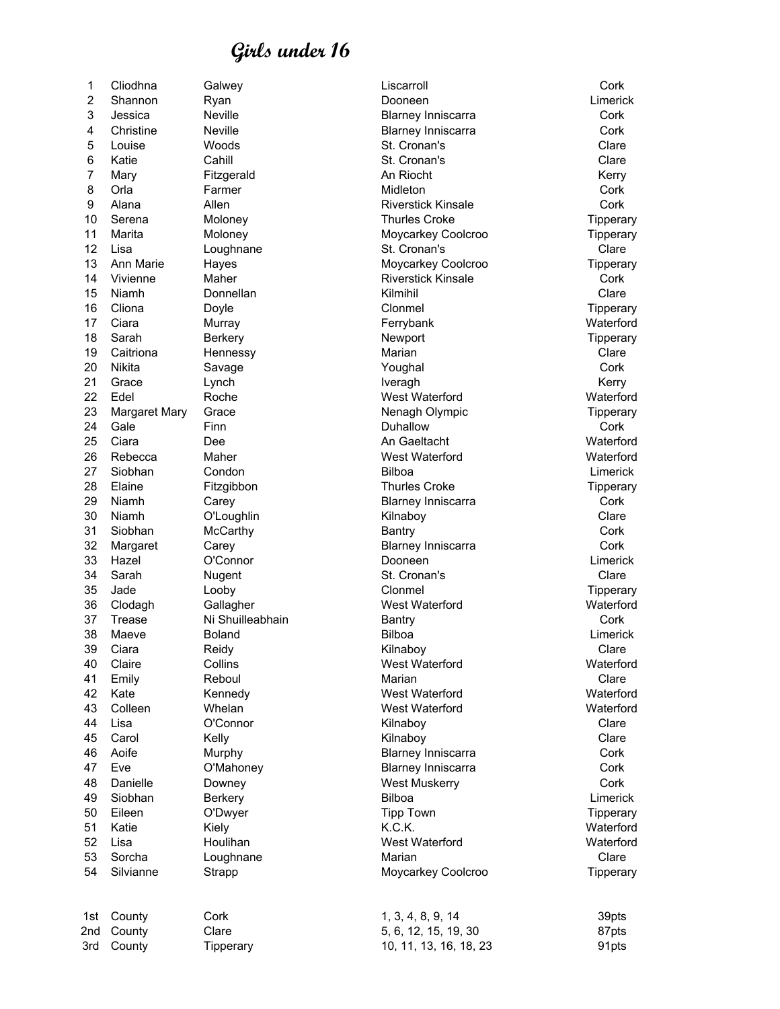2 Shannon Ryan Dooneen Limerick 3 Jessica Neville Blarney Inniscarra Cork 4 Christine Neville **Blarney Inniscarra** Cork 5 Louise Woods St. Cronan's Clare 6 Katie Cahill St. Cronan's Clare 7 Mary Fitzgerald An Riocht Kerry 8 Orla Farmer Midleton Cork 9 Alana Allen Riverstick Kinsale Cork 10 Serena Moloney Thurles Croke Tipperary 11 Marita Moloney Moycarkey Coolcroo Tipperary 12 Lisa Loughnane St. Cronan's Clare 13 Ann Marie Hayes **Moycarkey Coolcroo** Tipperary 14 Vivienne Maher Riverstick Kinsale Cork 15 Niamh Donnellan Kilmihil Clare 16 Cliona Doyle Clonmel Tipperary 17 Ciara Murray Ferrybank Waterford 18 Sarah Berkery Newport Tipperary 19 Caitriona Hennessy Marian Clare 20 Nikita Savage Youghal Cork 21 Grace Lynch Iveragh Kerry 22 Edel Roche West Waterford Waterford 23 Margaret Mary Grace Nenagh Olympic Nenagh Olympic Tipperary 24 Gale Finn Duhallow Cork 25 Ciara Dee An Gaeltacht Waterford 26 Rebecca Maher West Waterford Waterford 27 Siobhan Condon Bilboa Limerick 28 Elaine Fitzgibbon **Filty Communist Croke** Thurles Croke Tipperary Tipperary 29 Niamh Carey Blarney Inniscarra Cork 30 Niamh O'Loughlin Kilnaboy Clare 31 Siobhan McCarthy Bantry Cork 32 Margaret Carey Blarney Inniscarra Cork 33 Hazel O'Connor Dooneen Limerick 34 Sarah Nugent St. Cronan's Clare 35 Jade Looby Clonmel Tipperary 36 Clodagh Gallagher West Waterford Waterford 37 Trease Ni Shuilleabhain Bantry Bantry Cork 38 Maeve Boland Bilboa Limerick 39 Ciara Reidy Kilnaboy Clare 40 Claire Collins West Waterford Waterford 41 Emily Reboul Marian Clare 42 Kate Kennedy West Waterford Waterford 43 Colleen Whelan West Waterford Waterford 44 Lisa O'Connor Kilnaboy Clare 45 Carol Kelly Kilnaboy Clare 46 Aoife Murphy Blarney Inniscarra Cork 47 Eve O'Mahoney Blarney Inniscarra Cork 48 Danielle Downey West Muskerry Cork 49 Siobhan Berkery Bilboa Limerick 50 Eileen O'Dwyer Tipp Town Tipperary 51 Katie Kiely K.C.K. Waterford 52 Lisa Houlihan West Waterford Waterford 53 Sorcha Loughnane Marian Clare 54 Silvianne Strapp Strapp Moycarkey Coolcroo Tipperary

1 Cliodhna Galwey Liscarroll Cork

1st County Cork 1, 3, 4, 8, 9, 14 39pts 2nd County Clare 5, 6, 12, 15, 19, 30 87pts 3rd County Tipperary 10, 11, 13, 16, 18, 23 91pts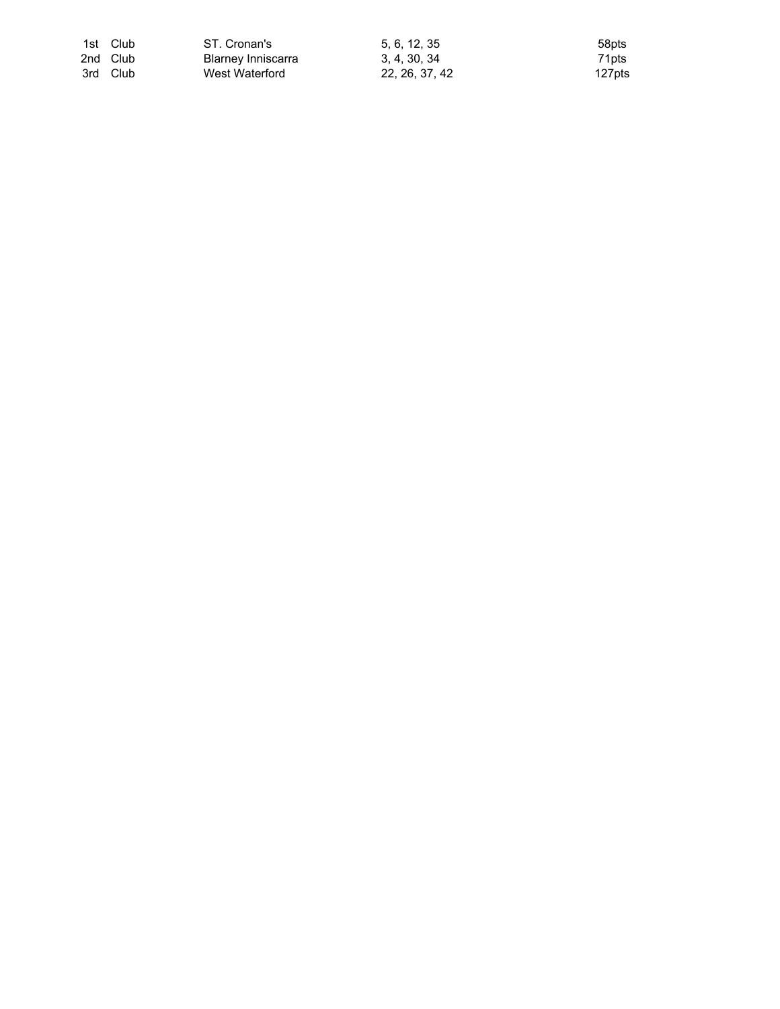| 1st Club | ST. Cronan's       | 5. 6. 12. 35   | 58pts  |
|----------|--------------------|----------------|--------|
| 2nd Club | Blarney Inniscarra | 3.4.30.34      | 71pts  |
| 3rd Club | West Waterford     | 22, 26, 37, 42 | 127pts |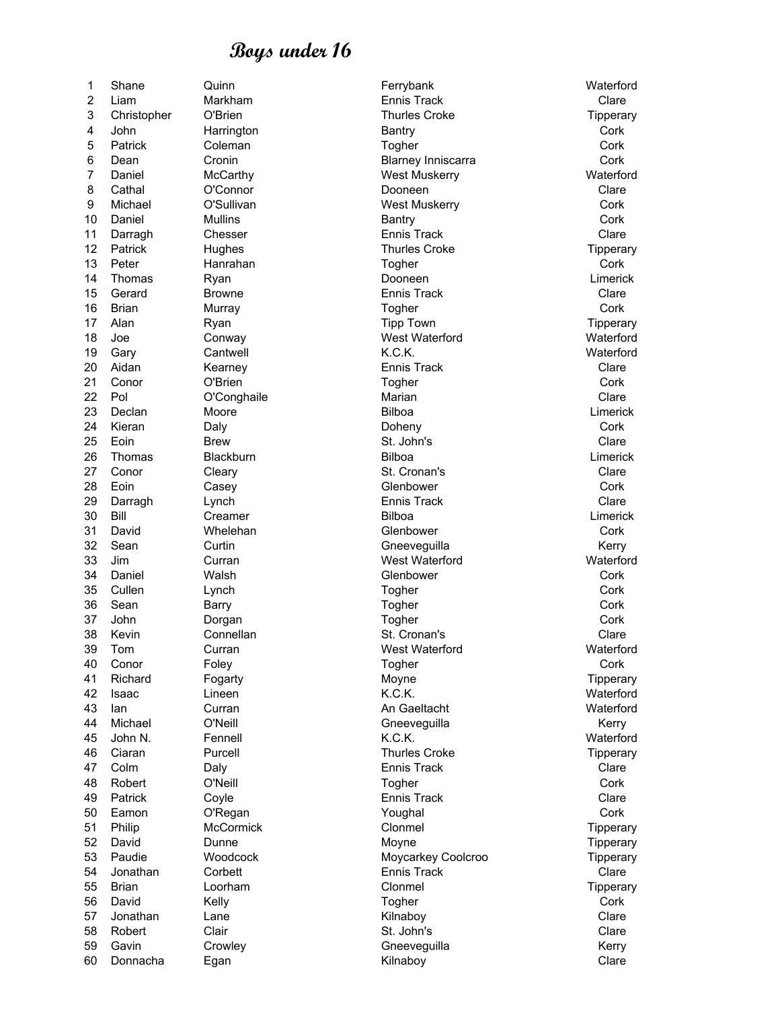| 1              | Shane          | Quinn            | Ferrybank                 | Waterford |
|----------------|----------------|------------------|---------------------------|-----------|
| 2              | Liam           | Markham          | <b>Ennis Track</b>        | Clare     |
| 3              | Christopher    | O'Brien          | <b>Thurles Croke</b>      | Tipperary |
| 4              | John           | Harrington       | Bantry                    | Cork      |
| 5              | <b>Patrick</b> | Coleman          | Togher                    | Cork      |
| 6              | Dean           | Cronin           | <b>Blarney Inniscarra</b> | Cork      |
| $\overline{7}$ | Daniel         | McCarthy         | <b>West Muskerry</b>      | Waterford |
| 8              | Cathal         | O'Connor         | Dooneen                   | Clare     |
| 9              | Michael        | O'Sullivan       | <b>West Muskerry</b>      | Cork      |
| 10             | Daniel         | <b>Mullins</b>   | Bantry                    | Cork      |
| 11             |                | Chesser          | Ennis Track               | Clare     |
| 12             | Darragh        |                  | <b>Thurles Croke</b>      |           |
|                | Patrick        | Hughes           |                           | Tipperary |
| 13             | Peter          | Hanrahan         | Togher                    | Cork      |
| 14             | Thomas         | Ryan             | Dooneen                   | Limerick  |
| 15             | Gerard         | <b>Browne</b>    | Ennis Track               | Clare     |
| 16             | <b>Brian</b>   | Murray           | Togher                    | Cork      |
| 17             | Alan           | Ryan             | <b>Tipp Town</b>          | Tipperary |
| 18             | Joe            | Conway           | West Waterford            | Waterford |
| 19             | Gary           | Cantwell         | K.C.K.                    | Waterford |
| 20             | Aidan          | Kearney          | Ennis Track               | Clare     |
| 21             | Conor          | O'Brien          | Togher                    | Cork      |
| 22             | Pol            | O'Conghaile      | Marian                    | Clare     |
| 23             | Declan         | Moore            | Bilboa                    | Limerick  |
| 24             | Kieran         | Daly             | Doheny                    | Cork      |
| 25             | Eoin           | Brew             | St. John's                | Clare     |
| 26             | Thomas         | Blackburn        | Bilboa                    | Limerick  |
| 27             | Conor          | Cleary           | St. Cronan's              | Clare     |
| 28             | Eoin           |                  | Glenbower                 | Cork      |
|                |                | Casey            |                           |           |
| 29             | Darragh        | Lynch            | <b>Ennis Track</b>        | Clare     |
| 30             | Bill           | Creamer          | Bilboa                    | Limerick  |
| 31             | David          | Whelehan         | Glenbower                 | Cork      |
| 32             | Sean           | Curtin           | Gneeveguilla              | Kerry     |
| 33             | Jim            | Curran           | West Waterford            | Waterford |
| 34             | Daniel         | Walsh            | Glenbower                 | Cork      |
| 35             | Cullen         | Lynch            | Togher                    | Cork      |
| 36             | Sean           | <b>Barry</b>     | Togher                    | Cork      |
| 37             | John           | Dorgan           | Togher                    | Cork      |
| 38             | Kevin          | Connellan        | St. Cronan's              | Clare     |
| 39             | Tom            | Curran           | West Waterford            | Waterford |
| 40             | Conor          | Foley            | Togher                    | Cork      |
| 41             | Richard        | Fogarty          | Moyne                     | Tipperary |
| 42             | Isaac          | Lineen           | K.C.K.                    | Waterford |
| 43             | lan            | Curran           | An Gaeltacht              | Waterford |
| 44             | Michael        | O'Neill          | Gneeveguilla              | Kerry     |
| 45             | John N.        | Fennell          | K.C.K.                    | Waterford |
| 46             | Ciaran         | Purcell          | <b>Thurles Croke</b>      | Tipperary |
|                |                |                  |                           |           |
| 47             | Colm           | Daly             | Ennis Track               | Clare     |
| 48             | Robert         | O'Neill          | Togher                    | Cork      |
| 49             | <b>Patrick</b> | Coyle            | <b>Ennis Track</b>        | Clare     |
| 50             | Eamon          | O'Regan          | Youghal                   | Cork      |
| 51             | Philip         | <b>McCormick</b> | Clonmel                   | Tipperary |
| 52             | David          | Dunne            | Moyne                     | Tipperary |
| 53             | Paudie         | Woodcock         | Moycarkey Coolcroo        | Tipperary |
| 54             | Jonathan       | Corbett          | <b>Ennis Track</b>        | Clare     |
| 55             | <b>Brian</b>   | Loorham          | Clonmel                   | Tipperary |
| 56             | David          | Kelly            | Togher                    | Cork      |
| 57             | Jonathan       | Lane             | Kilnaboy                  | Clare     |
| 58             | Robert         | Clair            | St. John's                | Clare     |
| 59             | Gavin          | Crowley          | Gneeveguilla              | Kerry     |
| 60             | Donnacha       | Egan             | Kilnaboy                  | Clare     |
|                |                |                  |                           |           |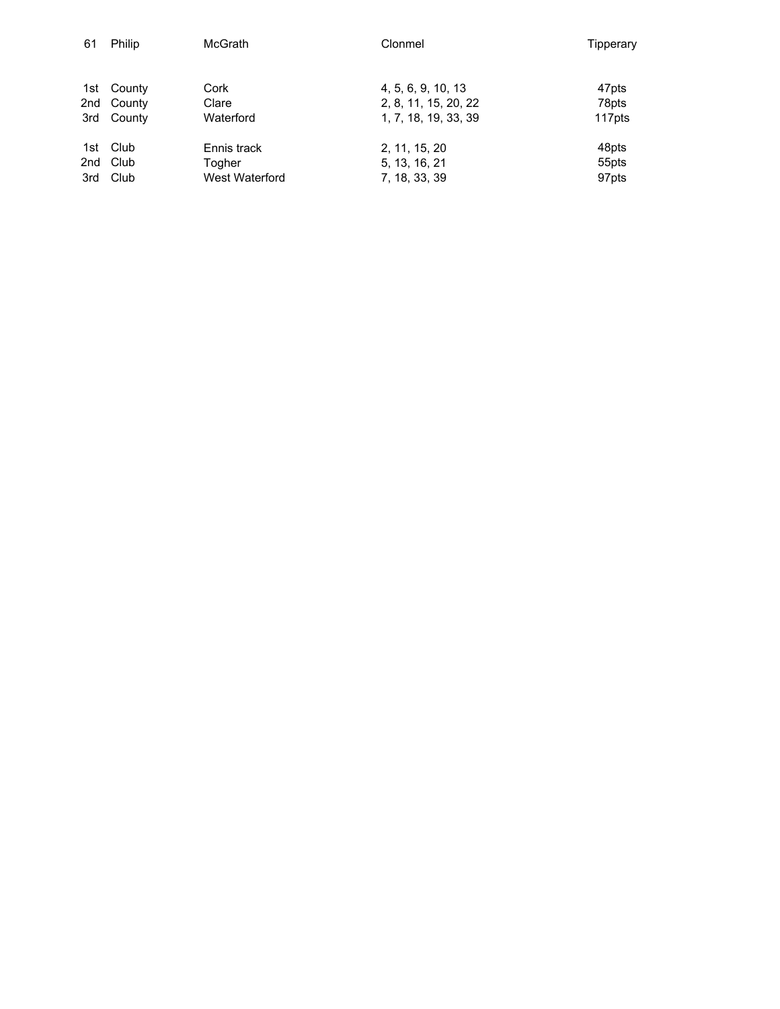| 61  | Philip     | <b>McGrath</b> | Clonmel              | Tipperary         |
|-----|------------|----------------|----------------------|-------------------|
|     |            |                |                      |                   |
|     | 1st County | Cork           | 4, 5, 6, 9, 10, 13   | 47pts             |
|     | 2nd County | Clare          | 2, 8, 11, 15, 20, 22 | 78pts             |
|     | 3rd County | Waterford      | 1, 7, 18, 19, 33, 39 | 117pts            |
|     | 1st Club   | Ennis track    | 2, 11, 15, 20        | 48pts             |
|     | 2nd Club   | Togher         | 5, 13, 16, 21        | 55pts             |
| 3rd | Club       | West Waterford | 7, 18, 33, 39        | 97 <sub>pts</sub> |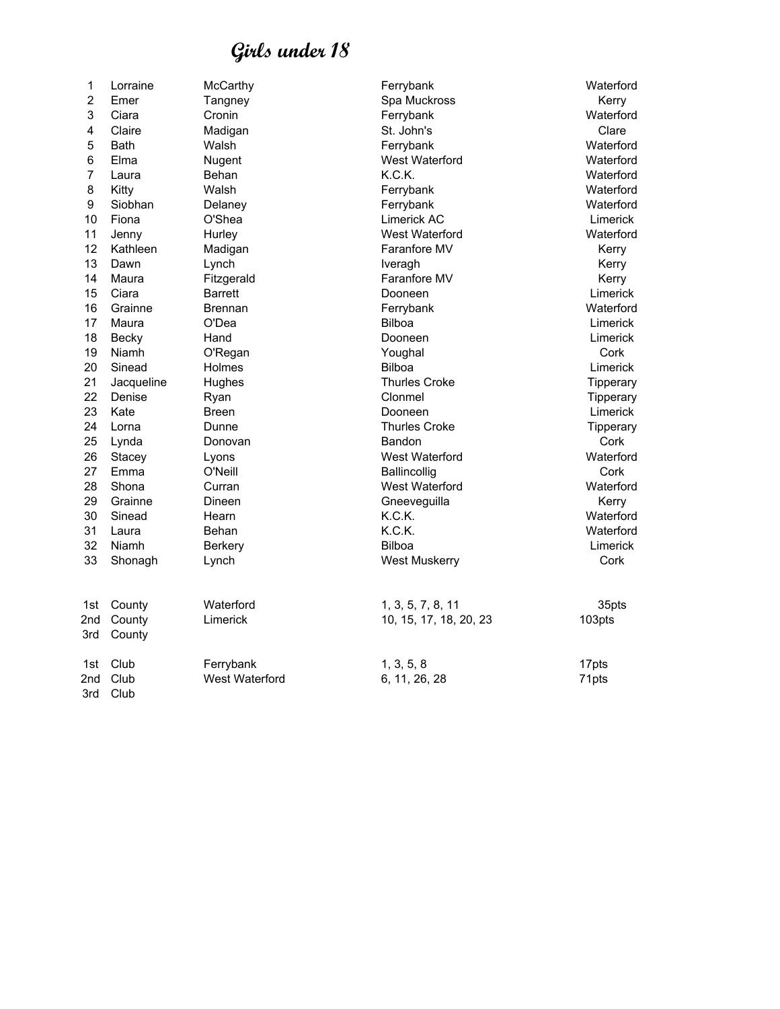| 1              | Lorraine     | McCarthy              | Ferrybank              | Waterford |
|----------------|--------------|-----------------------|------------------------|-----------|
| $\overline{c}$ | Emer         | Tangney               | Spa Muckross           | Kerry     |
| 3              | Ciara        | Cronin                | Ferrybank              | Waterford |
| 4              | Claire       | Madigan               | St. John's             | Clare     |
| 5              | <b>Bath</b>  | Walsh                 | Ferrybank              | Waterford |
| 6              | Elma         | Nugent                | West Waterford         | Waterford |
| $\overline{7}$ | Laura        | Behan                 | K.C.K.                 | Waterford |
| 8              | Kitty        | Walsh                 | Ferrybank              | Waterford |
| 9              | Siobhan      | Delaney               | Ferrybank              | Waterford |
| 10             | Fiona        | O'Shea                | Limerick AC            | Limerick  |
| 11             | Jenny        | Hurley                | West Waterford         | Waterford |
| 12             | Kathleen     | Madigan               | Faranfore MV           | Kerry     |
| 13             | Dawn         | Lynch                 | Iveragh                | Kerry     |
| 14             | Maura        | Fitzgerald            | Faranfore MV           | Kerry     |
| 15             | Ciara        | <b>Barrett</b>        | Dooneen                | Limerick  |
| 16             | Grainne      | Brennan               | Ferrybank              | Waterford |
| 17             | Maura        | O'Dea                 | <b>Bilboa</b>          | Limerick  |
| 18             | Becky        | Hand                  | Dooneen                | Limerick  |
| 19             | Niamh        | O'Regan               | Youghal                | Cork      |
| 20             | Sinead       | Holmes                | Bilboa                 | Limerick  |
| 21             | Jacqueline   | Hughes                | <b>Thurles Croke</b>   | Tipperary |
| 22             | Denise       | Ryan                  | Clonmel                | Tipperary |
| 23             | Kate         | Breen                 | Dooneen                | Limerick  |
| 24             | Lorna        | Dunne                 | <b>Thurles Croke</b>   | Tipperary |
| 25             | Lynda        | Donovan               | Bandon                 | Cork      |
| 26             | Stacey       | Lyons                 | <b>West Waterford</b>  | Waterford |
| 27             | Emma         | O'Neill               | Ballincollig           | Cork      |
| 28             | Shona        | Curran                | West Waterford         | Waterford |
| 29             | Grainne      | Dineen                | Gneeveguilla           | Kerry     |
| 30             | Sinead       | Hearn                 | K.C.K.                 | Waterford |
| 31             | Laura        | Behan                 | K.C.K.                 | Waterford |
| 32             | Niamh        | <b>Berkery</b>        | Bilboa                 | Limerick  |
| 33             | Shonagh      | Lynch                 | <b>West Muskerry</b>   | Cork      |
| 1st            | County       | Waterford             | 1, 3, 5, 7, 8, 11      | 35pts     |
| 2nd            | County       | Limerick              | 10, 15, 17, 18, 20, 23 | 103pts    |
| 3rd            | County       |                       |                        |           |
| 1st            | Club         | Ferrybank             | 1, 3, 5, 8             | 17pts     |
| 2nd<br>3rd     | Club<br>Club | <b>West Waterford</b> | 6, 11, 26, 28          | 71pts     |